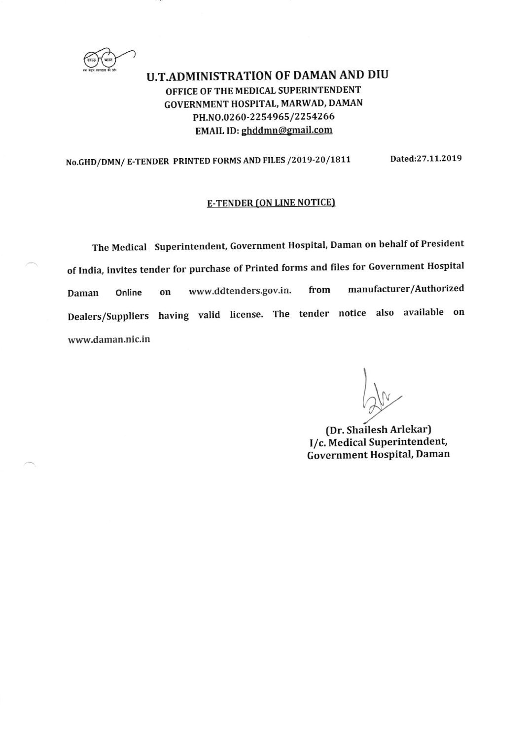U.T.ADMINISTRATION OF DAMAN AND DIU OFFICE OF THE MEDICAL SUPERINTENDENT GOVERNMENT HOSPITAL, MARWAD, DAMAN PH.NO.0260-2254965/2254266 EMAIL ID: ghddmn@gmail.com

No.GHD/DMN/ E-TENDER PRINTED FORMS AND FILES /2019-20/1811 Dated:27.11.2019

# **E-TENDER (ON LINE NOTICE)**

The Medical superintendent, Government Hospital, Daman on behalf of President of India, invites tender for purchase of Printed forms and files for Government Hospital Daman Online on www.ddtenders.gov.in. from manufacturer/Authorized Dealers/Suppliers having valid license. The tender notice also available on www.daman.nic.in

N

(Dr. Shailesh ArlekarJ I/c. Medical Superintendent, Government Hospital, Daman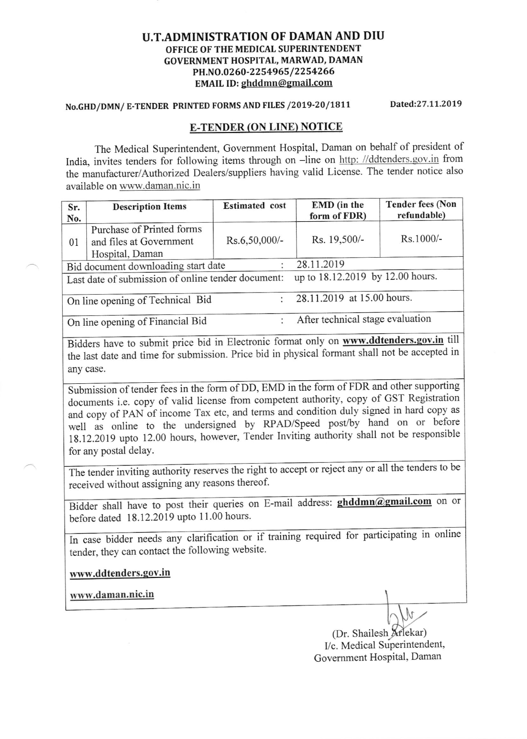### U.T.ADMINISTRATION OF DAMAN AND DIU OFFICE OF THE MEDICAL SUPERINTENDENT GOVERNMENT HOSPITAL, MARWAD, DAMAN PH.NO.0260-2254965/2254266 EMAIL ID: ghddmn@gmail.com

# No.GHD/DMN/ E-TENDER PRINTED FORMS AND FILES /2019-20/1811 Dated:27.11.2019

# E-TENDER (ON LINE) NOTICE

The Medical Superintendent, Govemment Hospital, Daman on behalf of president of India, invites tenders for following items through on -line on http: //ddtenders.gov.in from the manufacturer/Authorized Dealers/suppliers having valid License. The tender notice also available on www.daman.nic.in

| Sr.<br>No.                          | <b>Description Items</b>                                                | <b>Estimated</b> cost            | <b>EMD</b> (in the<br>form of FDR) | <b>Tender fees (Non</b><br>refundable) |  |  |
|-------------------------------------|-------------------------------------------------------------------------|----------------------------------|------------------------------------|----------------------------------------|--|--|
| 01                                  | Purchase of Printed forms<br>and files at Government<br>Hospital, Daman | Rs.6,50,000/-                    | Rs. 19,500/-                       | Rs.1000/-                              |  |  |
| Bid document downloading start date |                                                                         |                                  | 28.11.2019                         |                                        |  |  |
|                                     | Last date of submission of online tender document:                      | up to 18.12.2019 by 12.00 hours. |                                    |                                        |  |  |
| On line opening of Technical Bid    |                                                                         |                                  | 28.11.2019 at 15.00 hours.         |                                        |  |  |
| On line opening of Financial Bid    |                                                                         |                                  | After technical stage evaluation   |                                        |  |  |

Bidders have to submit price bid in Electronic format only on www.ddtenders.gov.in till the last date and time for submissi on. Price bid in physi cal formant shall not be accepted in any case.

for any postal delaY. Submission of tender fees in the form of DD, EMD in the form of FDR and other supporting submission of tender rees in the refinition of  $\epsilon$  is a perfect authority, copy of GST Registration documents i.e. copy of valid license from competent authority, copy of GST Registration and copy of PAN of income Tax etc, and terms and condition duly signed in hard copy as and copy of PAN of fictions and condition day signed in the copy<br>well as online to the undersigned by RPAD/Speed post/by hand on or before 18.12.2019 upto 12.00 hours, however, Tender Inviting authority shall not be responsible

The tender inviting authority reserves the right to accept or reject any or all the tenders to be received without assigning any reasons thereof.

Bidder shall have to post their queries on E-mail address: **ghddmn@gmail.com** on or before dated  $18.12.2019$  upto  $11.00$  hours.

In case bidder needs any clarification or if training required for participating in online tender, they can contact the following website.

www.ddtenders.gov.in

www.daman.nic.in

(Dr. Shailesh Arlekar) I/c. Medical Superintendent, Government Hospital, Daman